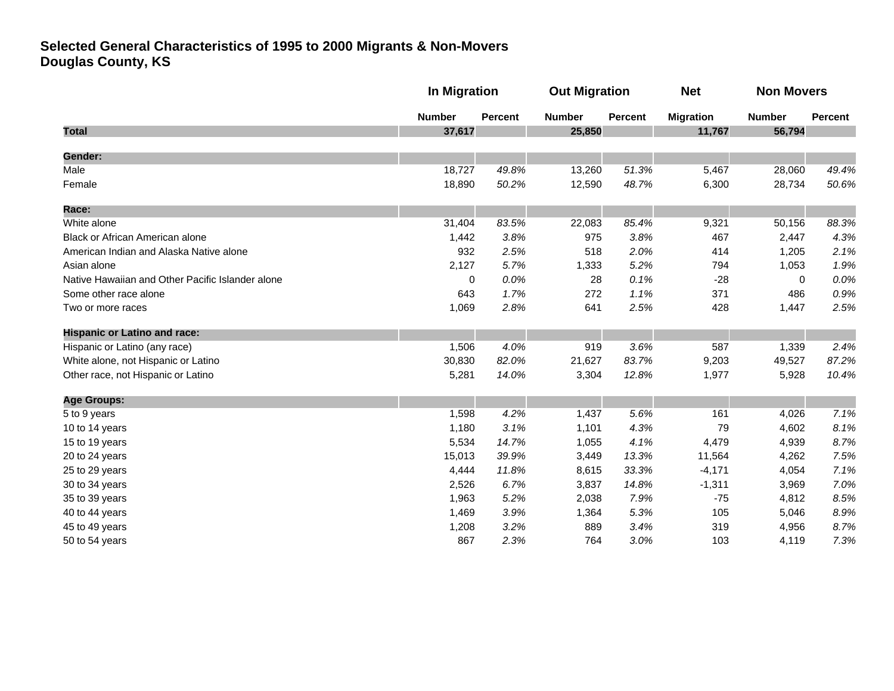|                                                  |               | In Migration   |               | <b>Out Migration</b> |                  | <b>Non Movers</b> |         |
|--------------------------------------------------|---------------|----------------|---------------|----------------------|------------------|-------------------|---------|
|                                                  | <b>Number</b> | <b>Percent</b> | <b>Number</b> | Percent              | <b>Migration</b> | <b>Number</b>     | Percent |
| <b>Total</b>                                     | 37,617        |                | 25,850        |                      | 11,767           | 56,794            |         |
| <b>Gender:</b>                                   |               |                |               |                      |                  |                   |         |
| Male                                             | 18,727        | 49.8%          | 13,260        | 51.3%                | 5,467            | 28,060            | 49.4%   |
| Female                                           | 18,890        | 50.2%          | 12,590        | 48.7%                | 6,300            | 28,734            | 50.6%   |
| Race:                                            |               |                |               |                      |                  |                   |         |
| White alone                                      | 31,404        | 83.5%          | 22,083        | 85.4%                | 9,321            | 50,156            | 88.3%   |
| Black or African American alone                  | 1,442         | 3.8%           | 975           | 3.8%                 | 467              | 2,447             | 4.3%    |
| American Indian and Alaska Native alone          | 932           | 2.5%           | 518           | 2.0%                 | 414              | 1,205             | 2.1%    |
| Asian alone                                      | 2,127         | 5.7%           | 1,333         | 5.2%                 | 794              | 1,053             | 1.9%    |
| Native Hawaiian and Other Pacific Islander alone | 0             | 0.0%           | 28            | 0.1%                 | $-28$            | $\mathbf{0}$      | 0.0%    |
| Some other race alone                            | 643           | 1.7%           | 272           | 1.1%                 | 371              | 486               | 0.9%    |
| Two or more races                                | 1,069         | 2.8%           | 641           | 2.5%                 | 428              | 1,447             | 2.5%    |
| <b>Hispanic or Latino and race:</b>              |               |                |               |                      |                  |                   |         |
| Hispanic or Latino (any race)                    | 1,506         | 4.0%           | 919           | 3.6%                 | 587              | 1,339             | 2.4%    |
| White alone, not Hispanic or Latino              | 30,830        | 82.0%          | 21,627        | 83.7%                | 9,203            | 49,527            | 87.2%   |
| Other race, not Hispanic or Latino               | 5,281         | 14.0%          | 3,304         | 12.8%                | 1,977            | 5,928             | 10.4%   |
| <b>Age Groups:</b>                               |               |                |               |                      |                  |                   |         |
| 5 to 9 years                                     | 1,598         | 4.2%           | 1,437         | 5.6%                 | 161              | 4,026             | 7.1%    |
| 10 to 14 years                                   | 1,180         | 3.1%           | 1,101         | 4.3%                 | 79               | 4,602             | 8.1%    |
| 15 to 19 years                                   | 5,534         | 14.7%          | 1,055         | 4.1%                 | 4,479            | 4,939             | 8.7%    |
| 20 to 24 years                                   | 15,013        | 39.9%          | 3,449         | 13.3%                | 11,564           | 4,262             | 7.5%    |
| 25 to 29 years                                   | 4,444         | 11.8%          | 8,615         | 33.3%                | $-4,171$         | 4,054             | 7.1%    |
| 30 to 34 years                                   | 2,526         | 6.7%           | 3,837         | 14.8%                | $-1,311$         | 3,969             | 7.0%    |
| 35 to 39 years                                   | 1,963         | 5.2%           | 2,038         | 7.9%                 | $-75$            | 4,812             | 8.5%    |
| 40 to 44 years                                   | 1,469         | 3.9%           | 1,364         | 5.3%                 | 105              | 5,046             | 8.9%    |
| 45 to 49 years                                   | 1,208         | 3.2%           | 889           | 3.4%                 | 319              | 4,956             | 8.7%    |
| 50 to 54 years                                   | 867           | 2.3%           | 764           | 3.0%                 | 103              | 4,119             | 7.3%    |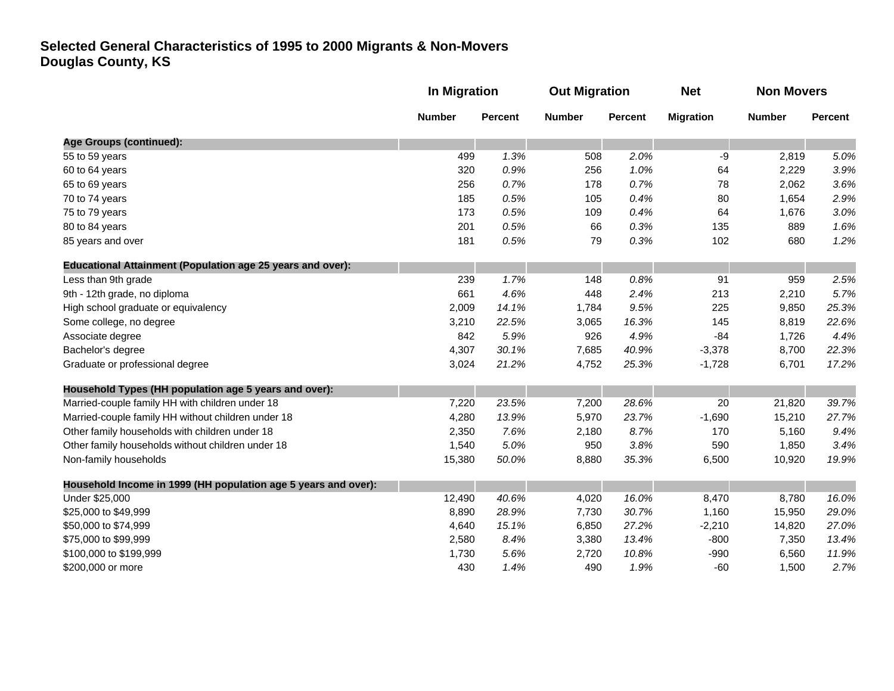|                                                                   | In Migration  |                                                   | <b>Out Migration</b> |               | <b>Net</b> | <b>Non Movers</b> |       |
|-------------------------------------------------------------------|---------------|---------------------------------------------------|----------------------|---------------|------------|-------------------|-------|
|                                                                   | <b>Number</b> | <b>Number</b><br><b>Percent</b><br><b>Percent</b> | <b>Migration</b>     | <b>Number</b> | Percent    |                   |       |
| Age Groups (continued):                                           |               |                                                   |                      |               |            |                   |       |
| 55 to 59 years                                                    | 499           | 1.3%                                              | 508                  | 2.0%          | -9         | 2,819             | 5.0%  |
| 60 to 64 years                                                    | 320           | 0.9%                                              | 256                  | 1.0%          | 64         | 2,229             | 3.9%  |
| 65 to 69 years                                                    | 256           | 0.7%                                              | 178                  | 0.7%          | 78         | 2,062             | 3.6%  |
| 70 to 74 years                                                    | 185           | 0.5%                                              | 105                  | 0.4%          | 80         | 1,654             | 2.9%  |
| 75 to 79 years                                                    | 173           | 0.5%                                              | 109                  | 0.4%          | 64         | 1,676             | 3.0%  |
| 80 to 84 years                                                    | 201           | 0.5%                                              | 66                   | 0.3%          | 135        | 889               | 1.6%  |
| 85 years and over                                                 | 181           | 0.5%                                              | 79                   | 0.3%          | 102        | 680               | 1.2%  |
| <b>Educational Attainment (Population age 25 years and over):</b> |               |                                                   |                      |               |            |                   |       |
| Less than 9th grade                                               | 239           | 1.7%                                              | 148                  | 0.8%          | 91         | 959               | 2.5%  |
| 9th - 12th grade, no diploma                                      | 661           | 4.6%                                              | 448                  | 2.4%          | 213        | 2,210             | 5.7%  |
| High school graduate or equivalency                               | 2,009         | 14.1%                                             | 1,784                | 9.5%          | 225        | 9,850             | 25.3% |
| Some college, no degree                                           | 3,210         | 22.5%                                             | 3,065                | 16.3%         | 145        | 8,819             | 22.6% |
| Associate degree                                                  | 842           | 5.9%                                              | 926                  | 4.9%          | $-84$      | 1,726             | 4.4%  |
| Bachelor's degree                                                 | 4,307         | 30.1%                                             | 7,685                | 40.9%         | $-3,378$   | 8,700             | 22.3% |
| Graduate or professional degree                                   | 3,024         | 21.2%                                             | 4,752                | 25.3%         | $-1,728$   | 6,701             | 17.2% |
| Household Types (HH population age 5 years and over):             |               |                                                   |                      |               |            |                   |       |
| Married-couple family HH with children under 18                   | 7,220         | 23.5%                                             | 7,200                | 28.6%         | 20         | 21,820            | 39.7% |
| Married-couple family HH without children under 18                | 4,280         | 13.9%                                             | 5,970                | 23.7%         | $-1,690$   | 15,210            | 27.7% |
| Other family households with children under 18                    | 2,350         | 7.6%                                              | 2,180                | 8.7%          | 170        | 5,160             | 9.4%  |
| Other family households without children under 18                 | 1,540         | 5.0%                                              | 950                  | 3.8%          | 590        | 1,850             | 3.4%  |
| Non-family households                                             | 15,380        | 50.0%                                             | 8,880                | 35.3%         | 6,500      | 10,920            | 19.9% |
| Household Income in 1999 (HH population age 5 years and over):    |               |                                                   |                      |               |            |                   |       |
| Under \$25,000                                                    | 12,490        | 40.6%                                             | 4,020                | 16.0%         | 8,470      | 8,780             | 16.0% |
| \$25,000 to \$49,999                                              | 8,890         | 28.9%                                             | 7,730                | 30.7%         | 1,160      | 15,950            | 29.0% |
| \$50,000 to \$74,999                                              | 4,640         | 15.1%                                             | 6,850                | 27.2%         | $-2,210$   | 14,820            | 27.0% |
| \$75,000 to \$99,999                                              | 2,580         | 8.4%                                              | 3,380                | 13.4%         | $-800$     | 7,350             | 13.4% |
| \$100,000 to \$199,999                                            | 1,730         | 5.6%                                              | 2,720                | 10.8%         | $-990$     | 6,560             | 11.9% |
| \$200,000 or more                                                 | 430           | 1.4%                                              | 490                  | 1.9%          | $-60$      | 1,500             | 2.7%  |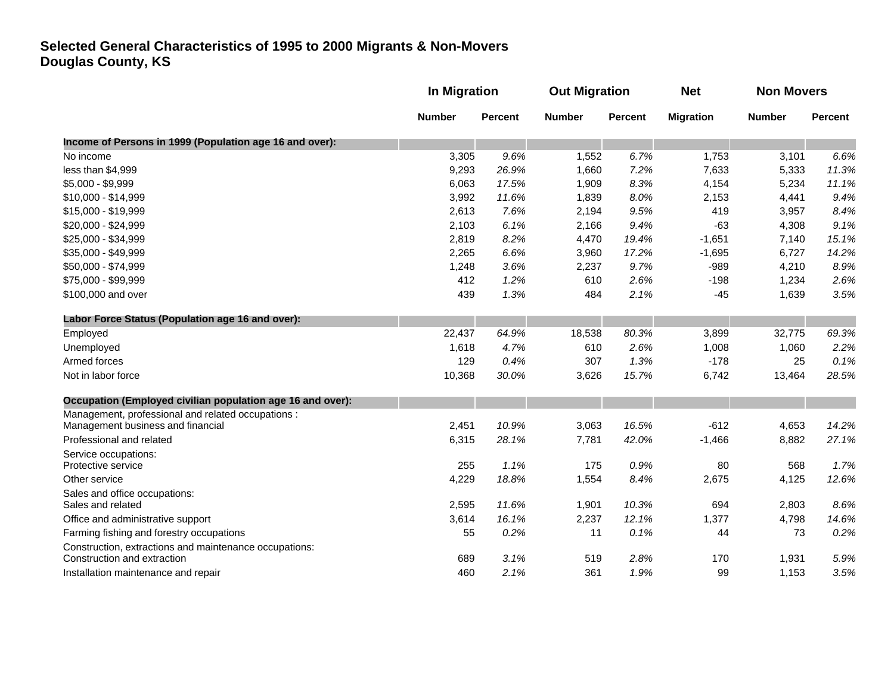|                                                            |               | In Migration   |               | <b>Out Migration</b> |                  | <b>Non Movers</b> |                |
|------------------------------------------------------------|---------------|----------------|---------------|----------------------|------------------|-------------------|----------------|
|                                                            | <b>Number</b> | <b>Percent</b> | <b>Number</b> | <b>Percent</b>       | <b>Migration</b> | <b>Number</b>     | <b>Percent</b> |
| Income of Persons in 1999 (Population age 16 and over):    |               |                |               |                      |                  |                   |                |
| No income                                                  | 3,305         | 9.6%           | 1,552         | 6.7%                 | 1,753            | 3,101             | 6.6%           |
| less than \$4,999                                          | 9,293         | 26.9%          | 1,660         | 7.2%                 | 7,633            | 5,333             | 11.3%          |
| \$5,000 - \$9,999                                          | 6,063         | 17.5%          | 1,909         | 8.3%                 | 4,154            | 5,234             | 11.1%          |
| \$10,000 - \$14,999                                        | 3,992         | 11.6%          | 1,839         | 8.0%                 | 2,153            | 4,441             | 9.4%           |
| \$15,000 - \$19,999                                        | 2,613         | 7.6%           | 2,194         | 9.5%                 | 419              | 3,957             | 8.4%           |
| \$20,000 - \$24,999                                        | 2,103         | 6.1%           | 2,166         | 9.4%                 | $-63$            | 4,308             | 9.1%           |
| \$25,000 - \$34,999                                        | 2,819         | 8.2%           | 4,470         | 19.4%                | $-1,651$         | 7,140             | 15.1%          |
| \$35,000 - \$49,999                                        | 2,265         | 6.6%           | 3,960         | 17.2%                | $-1,695$         | 6,727             | 14.2%          |
| \$50,000 - \$74,999                                        | 1,248         | 3.6%           | 2,237         | 9.7%                 | $-989$           | 4,210             | 8.9%           |
| \$75,000 - \$99,999                                        | 412           | 1.2%           | 610           | 2.6%                 | $-198$           | 1,234             | 2.6%           |
| \$100,000 and over                                         | 439           | 1.3%           | 484           | 2.1%                 | $-45$            | 1,639             | 3.5%           |
| Labor Force Status (Population age 16 and over):           |               |                |               |                      |                  |                   |                |
| Employed                                                   | 22,437        | 64.9%          | 18,538        | 80.3%                | 3,899            | 32,775            | 69.3%          |
| Unemployed                                                 | 1,618         | 4.7%           | 610           | 2.6%                 | 1,008            | 1,060             | 2.2%           |
| Armed forces                                               | 129           | 0.4%           | 307           | 1.3%                 | $-178$           | 25                | 0.1%           |
| Not in labor force                                         | 10,368        | 30.0%          | 3,626         | 15.7%                | 6,742            | 13,464            | 28.5%          |
| Occupation (Employed civilian population age 16 and over): |               |                |               |                      |                  |                   |                |
| Management, professional and related occupations :         |               |                |               |                      |                  |                   |                |
| Management business and financial                          | 2,451         | 10.9%          | 3,063         | 16.5%                | $-612$           | 4,653             | 14.2%          |
| Professional and related                                   | 6,315         | 28.1%          | 7,781         | 42.0%                | $-1,466$         | 8,882             | 27.1%          |
| Service occupations:<br>Protective service                 | 255           | 1.1%           | 175           | 0.9%                 | 80               | 568               | 1.7%           |
|                                                            |               |                |               |                      |                  |                   |                |
| Other service                                              | 4,229         | 18.8%          | 1,554         | 8.4%                 | 2,675            | 4,125             | 12.6%          |
| Sales and office occupations:<br>Sales and related         | 2,595         | 11.6%          | 1,901         | 10.3%                | 694              | 2,803             | 8.6%           |
| Office and administrative support                          | 3,614         | 16.1%          | 2,237         | 12.1%                | 1,377            | 4,798             | 14.6%          |
| Farming fishing and forestry occupations                   | 55            | 0.2%           | 11            | 0.1%                 | 44               | 73                | 0.2%           |
| Construction, extractions and maintenance occupations:     |               |                |               |                      |                  |                   |                |
| Construction and extraction                                | 689           | 3.1%           | 519           | 2.8%                 | 170              | 1,931             | 5.9%           |
| Installation maintenance and repair                        | 460           | 2.1%           | 361           | 1.9%                 | 99               | 1,153             | 3.5%           |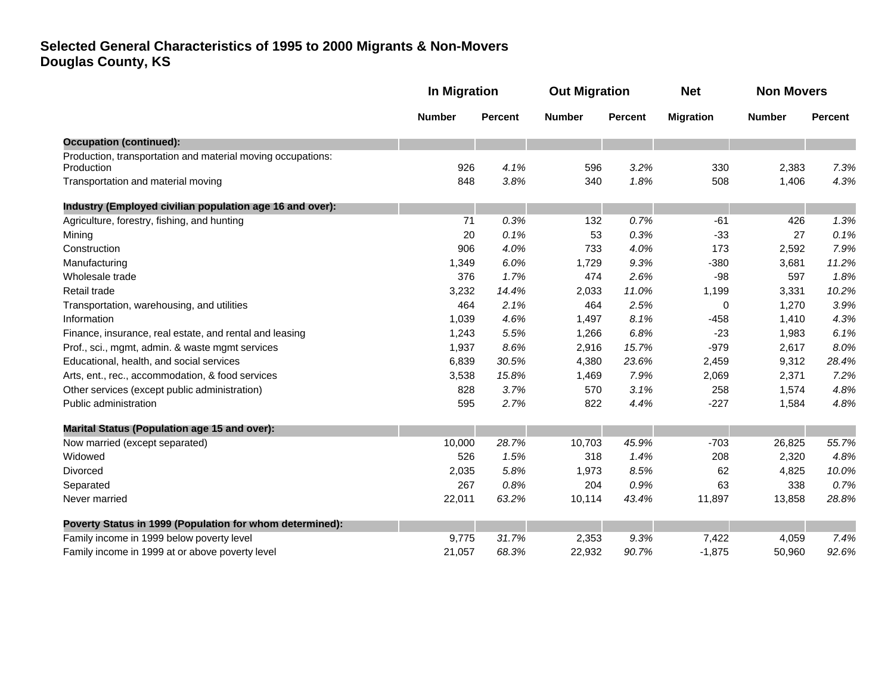|                                                                           | <b>In Migration</b> |                | <b>Out Migration</b> |                | <b>Net</b>       | <b>Non Movers</b> |                |
|---------------------------------------------------------------------------|---------------------|----------------|----------------------|----------------|------------------|-------------------|----------------|
|                                                                           | <b>Number</b>       | <b>Percent</b> | <b>Number</b>        | <b>Percent</b> | <b>Migration</b> | <b>Number</b>     | <b>Percent</b> |
| <b>Occupation (continued):</b>                                            |                     |                |                      |                |                  |                   |                |
| Production, transportation and material moving occupations:<br>Production | 926                 | 4.1%           | 596                  | 3.2%           | 330              | 2,383             | 7.3%           |
| Transportation and material moving                                        | 848                 | 3.8%           | 340                  | 1.8%           | 508              | 1,406             | 4.3%           |
| Industry (Employed civilian population age 16 and over):                  |                     |                |                      |                |                  |                   |                |
| Agriculture, forestry, fishing, and hunting                               | 71                  | 0.3%           | 132                  | 0.7%           | $-61$            | 426               | 1.3%           |
| Mining                                                                    | 20                  | 0.1%           | 53                   | 0.3%           | $-33$            | 27                | 0.1%           |
| Construction                                                              | 906                 | 4.0%           | 733                  | 4.0%           | 173              | 2,592             | 7.9%           |
| Manufacturing                                                             | 1,349               | 6.0%           | 1,729                | 9.3%           | $-380$           | 3,681             | 11.2%          |
| Wholesale trade                                                           | 376                 | 1.7%           | 474                  | 2.6%           | $-98$            | 597               | 1.8%           |
| Retail trade                                                              | 3,232               | 14.4%          | 2,033                | 11.0%          | 1,199            | 3,331             | 10.2%          |
| Transportation, warehousing, and utilities                                | 464                 | 2.1%           | 464                  | 2.5%           | 0                | 1,270             | 3.9%           |
| Information                                                               | 1,039               | 4.6%           | 1,497                | 8.1%           | $-458$           | 1,410             | 4.3%           |
| Finance, insurance, real estate, and rental and leasing                   | 1,243               | 5.5%           | 1,266                | 6.8%           | $-23$            | 1,983             | 6.1%           |
| Prof., sci., mgmt, admin. & waste mgmt services                           | 1,937               | 8.6%           | 2,916                | 15.7%          | $-979$           | 2,617             | 8.0%           |
| Educational, health, and social services                                  | 6,839               | 30.5%          | 4,380                | 23.6%          | 2,459            | 9,312             | 28.4%          |
| Arts, ent., rec., accommodation, & food services                          | 3,538               | 15.8%          | 1,469                | 7.9%           | 2,069            | 2,371             | 7.2%           |
| Other services (except public administration)                             | 828                 | 3.7%           | 570                  | 3.1%           | 258              | 1,574             | 4.8%           |
| Public administration                                                     | 595                 | 2.7%           | 822                  | 4.4%           | $-227$           | 1,584             | 4.8%           |
| <b>Marital Status (Population age 15 and over):</b>                       |                     |                |                      |                |                  |                   |                |
| Now married (except separated)                                            | 10,000              | 28.7%          | 10,703               | 45.9%          | $-703$           | 26,825            | 55.7%          |
| Widowed                                                                   | 526                 | 1.5%           | 318                  | 1.4%           | 208              | 2,320             | 4.8%           |
| Divorced                                                                  | 2,035               | 5.8%           | 1,973                | 8.5%           | 62               | 4,825             | 10.0%          |
| Separated                                                                 | 267                 | 0.8%           | 204                  | 0.9%           | 63               | 338               | 0.7%           |
| Never married                                                             | 22,011              | 63.2%          | 10,114               | 43.4%          | 11,897           | 13,858            | 28.8%          |
| Poverty Status in 1999 (Population for whom determined):                  |                     |                |                      |                |                  |                   |                |
| Family income in 1999 below poverty level                                 | 9,775               | 31.7%          | 2,353                | 9.3%           | 7,422            | 4,059             | 7.4%           |
| Family income in 1999 at or above poverty level                           | 21,057              | 68.3%          | 22,932               | 90.7%          | $-1,875$         | 50,960            | 92.6%          |